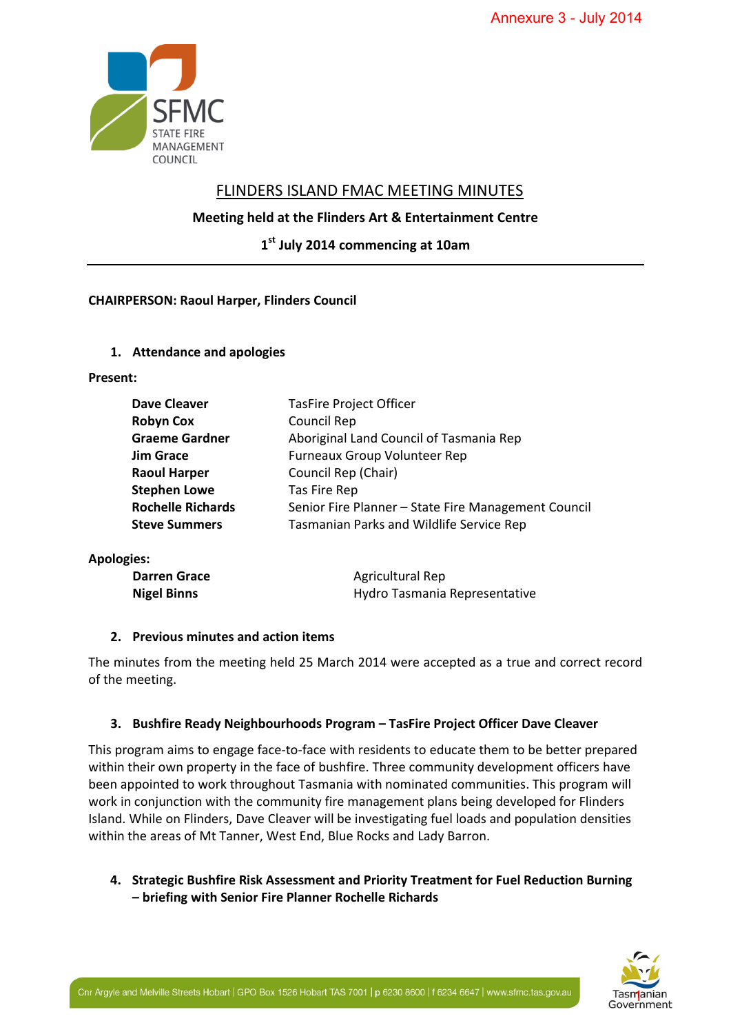

# FLINDERS ISLAND FMAC MEETING MINUTES

# **Meeting held at the Flinders Art & Entertainment Centre**

**1 st July 2014 commencing at 10am**

# **CHAIRPERSON: Raoul Harper, Flinders Council**

### **1. Attendance and apologies**

### **Present:**

| <b>Dave Cleaver</b>      | <b>TasFire Project Officer</b>                      |  |
|--------------------------|-----------------------------------------------------|--|
| <b>Robyn Cox</b>         | Council Rep                                         |  |
| <b>Graeme Gardner</b>    | Aboriginal Land Council of Tasmania Rep             |  |
| <b>Jim Grace</b>         | Furneaux Group Volunteer Rep                        |  |
| <b>Raoul Harper</b>      | Council Rep (Chair)                                 |  |
| <b>Stephen Lowe</b>      | Tas Fire Rep                                        |  |
| <b>Rochelle Richards</b> | Senior Fire Planner - State Fire Management Council |  |
| <b>Steve Summers</b>     | Tasmanian Parks and Wildlife Service Rep            |  |
|                          |                                                     |  |

**Apologies:** 

| <b>Darren Grace</b> | Agricultural Rep              |
|---------------------|-------------------------------|
| <b>Nigel Binns</b>  | Hydro Tasmania Representative |

### **2. Previous minutes and action items**

The minutes from the meeting held 25 March 2014 were accepted as a true and correct record of the meeting.

# **3. Bushfire Ready Neighbourhoods Program – TasFire Project Officer Dave Cleaver**

This program aims to engage face-to-face with residents to educate them to be better prepared within their own property in the face of bushfire. Three community development officers have been appointed to work throughout Tasmania with nominated communities. This program will work in conjunction with the community fire management plans being developed for Flinders Island. While on Flinders, Dave Cleaver will be investigating fuel loads and population densities within the areas of Mt Tanner, West End, Blue Rocks and Lady Barron. Annexure 3 - July 2014<br>
UTES<br>
t Centre<br>
t Centre<br>
a Rep<br>
agement Council<br>
ce Rep<br>
entative<br>
a true and correct record<br>
fficer Dave Cleaver<br>
emtative<br>
velopment officers have<br>
veloped for Flinders<br>
developed for Flinders<br>
F

**4. Strategic Bushfire Risk Assessment and Priority Treatment for Fuel Reduction Burning – briefing with Senior Fire Planner Rochelle Richards** 

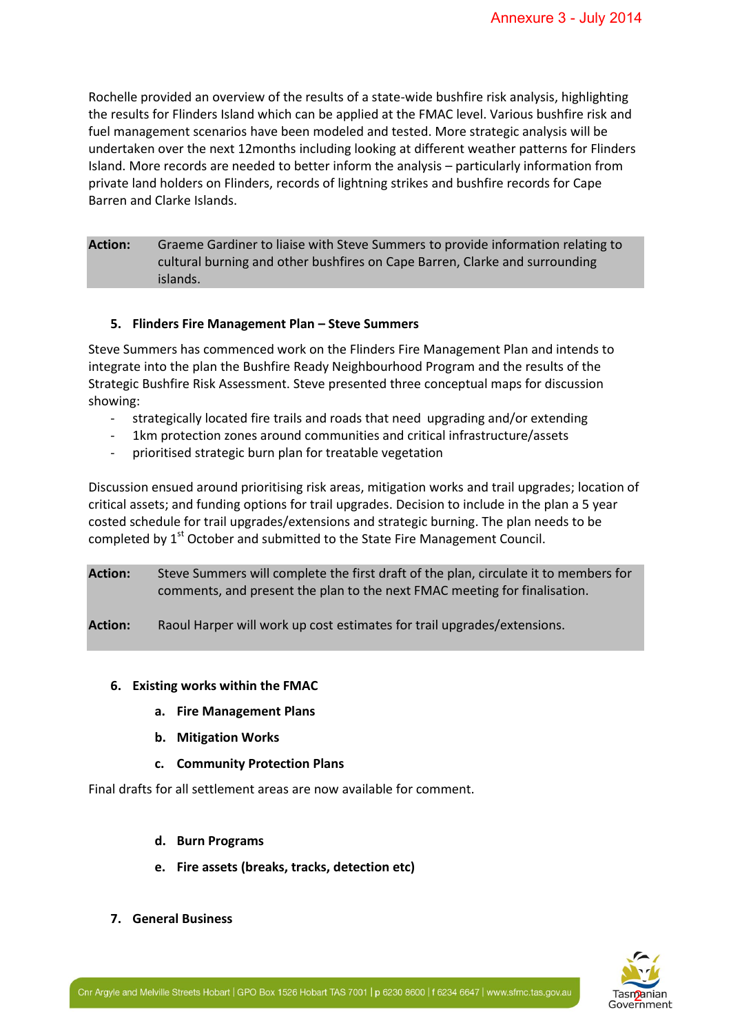Rochelle provided an overview of the results of a state-wide bushfire risk analysis, highlighting the results for Flinders Island which can be applied at the FMAC level. Various bushfire risk and fuel management scenarios have been modeled and tested. More strategic analysis will be undertaken over the next 12months including looking at different weather patterns for Flinders Island. More records are needed to better inform the analysis – particularly information from private land holders on Flinders, records of lightning strikes and bushfire records for Cape Barren and Clarke Islands. Annexure 3 - July 2014<br>
isk analysis, highlighting<br>
various bushfire risk and<br>
various bushfire risk and<br>
tegic analysis will be<br>
ther patterns for Flinders<br>
luarly information from<br>
information relating to<br>
information re

**Action:** Graeme Gardiner to liaise with Steve Summers to provide information relating to cultural burning and other bushfires on Cape Barren, Clarke and surrounding islands.

#### **5. Flinders Fire Management Plan – Steve Summers**

Steve Summers has commenced work on the Flinders Fire Management Plan and intends to integrate into the plan the Bushfire Ready Neighbourhood Program and the results of the Strategic Bushfire Risk Assessment. Steve presented three conceptual maps for discussion showing:

- strategically located fire trails and roads that need upgrading and/or extending
- 1km protection zones around communities and critical infrastructure/assets
- prioritised strategic burn plan for treatable vegetation

Discussion ensued around prioritising risk areas, mitigation works and trail upgrades; location of critical assets; and funding options for trail upgrades. Decision to include in the plan a 5 year costed schedule for trail upgrades/extensions and strategic burning. The plan needs to be completed by 1<sup>st</sup> October and submitted to the State Fire Management Council.

**Action:** Steve Summers will complete the first draft of the plan, circulate it to members for comments, and present the plan to the next FMAC meeting for finalisation.

**Action:** Raoul Harper will work up cost estimates for trail upgrades/extensions.

- **6. Existing works within the FMAC** 
	- **a. Fire Management Plans**
	- **b. Mitigation Works**
	- **c. Community Protection Plans**

Final drafts for all settlement areas are now available for comment.

- **d. Burn Programs**
- **e. Fire assets (breaks, tracks, detection etc)**
- **7. General Business**